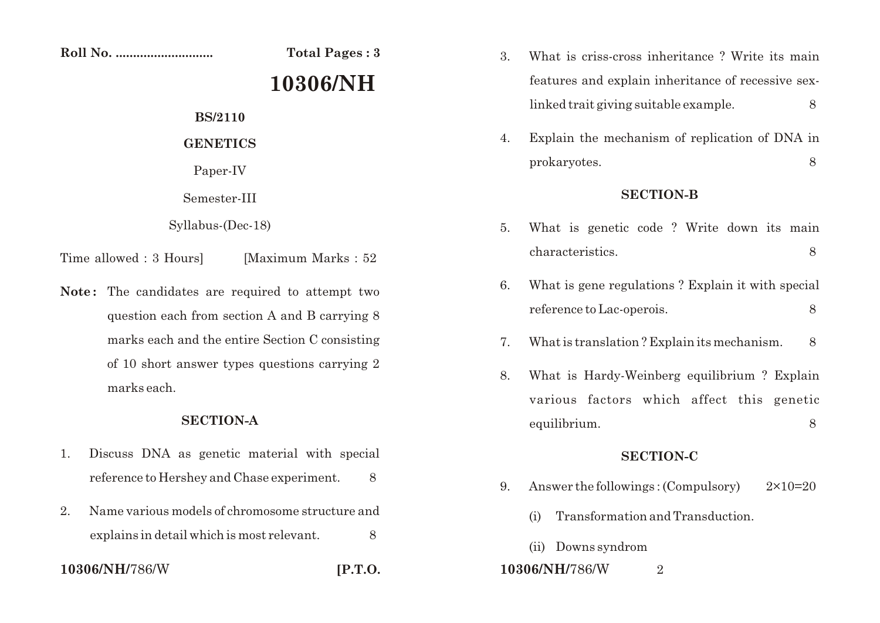**Roll No. ............................ Total Pages : 3**

# **10306/NH**

**BS/2110**

### **GENETICS**

Paper-IV

Semester-III

### Syllabus-(Dec-18)

Time allowed : 3 Hours [Maximum Marks : 52]

Note: The candidates are required to attempt two question each from section A and B carrying 8 marks each and the entire Section C consisting of 10 short answer types questions carrying 2 marks each.

## **SECTION-A**

- 1. Discuss DNA as genetic material with special reference to Hershey and Chase experiment. 8
- 2. Name various models of chromosome structure and explains in detail which is most relevant.  $\sim$  8

## **10306/NH/**786/W **[P.T.O.**

3. What is criss-cross inheritance ? Write its main features and explain inheritance of recessive sexlinked trait giving suitable example. 8

4. Explain the mechanism of replication of DNA in prokaryotes. 8

#### **SECTION-B**

- 5. What is genetic code ? Write down its main characteristics. 8
- 6. What is gene regulations ? Explain it with special reference to Lac-operois. 8
- 7. What is translation ? Explain its mechanism. 8
- 8. What is Hardy-Weinberg equilibrium ? Explain various factors which affect this genetic equilibrium. 8

## **SECTION-C**

- 9. Answer the followings :  $(Compulsory)$   $2 \times 10=20$ 
	- (i) Transformation and Transduction.
	- (ii) Downs syndrom
- **10306/NH/**786/W 2